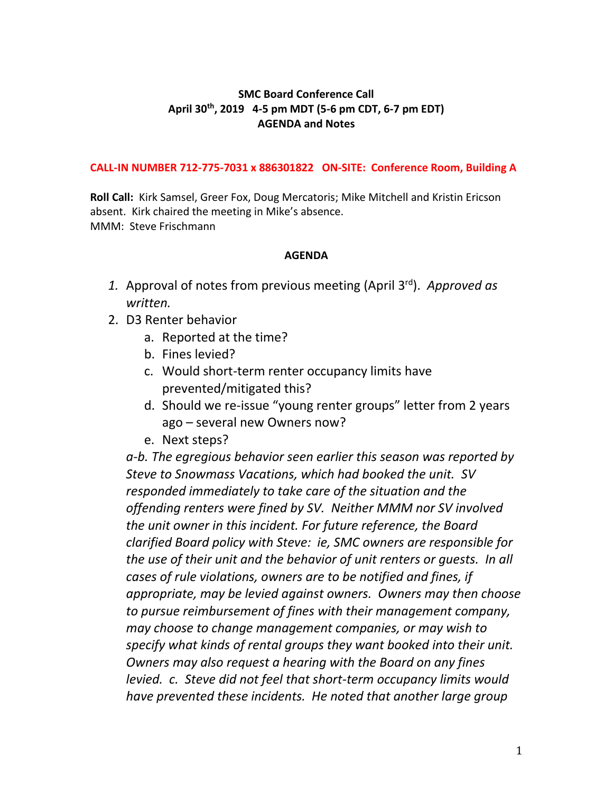## **SMC Board Conference Call April 30 th, 2019 4-5 pm MDT (5-6 pm CDT, 6-7 pm EDT) AGENDA and Notes**

## **CALL-IN NUMBER 712-775-7031 x 886301822 ON-SITE: Conference Room, Building A**

**Roll Call:** Kirk Samsel, Greer Fox, Doug Mercatoris; Mike Mitchell and Kristin Ericson absent. Kirk chaired the meeting in Mike's absence. MMM: Steve Frischmann

## **AGENDA**

- *1.* Approval of notes from previous meeting (April 3rd). *Approved as written.*
- 2. D3 Renter behavior
	- a. Reported at the time?
	- b. Fines levied?
	- c. Would short-term renter occupancy limits have prevented/mitigated this?
	- d. Should we re-issue "young renter groups" letter from 2 years ago – several new Owners now?
	- e. Next steps?

*a-b. The egregious behavior seen earlier this season was reported by Steve to Snowmass Vacations, which had booked the unit. SV responded immediately to take care of the situation and the offending renters were fined by SV. Neither MMM nor SV involved the unit owner in this incident. For future reference, the Board clarified Board policy with Steve: ie, SMC owners are responsible for the use of their unit and the behavior of unit renters or guests. In all cases of rule violations, owners are to be notified and fines, if appropriate, may be levied against owners. Owners may then choose to pursue reimbursement of fines with their management company, may choose to change management companies, or may wish to specify what kinds of rental groups they want booked into their unit. Owners may also request a hearing with the Board on any fines levied. c. Steve did not feel that short-term occupancy limits would have prevented these incidents. He noted that another large group*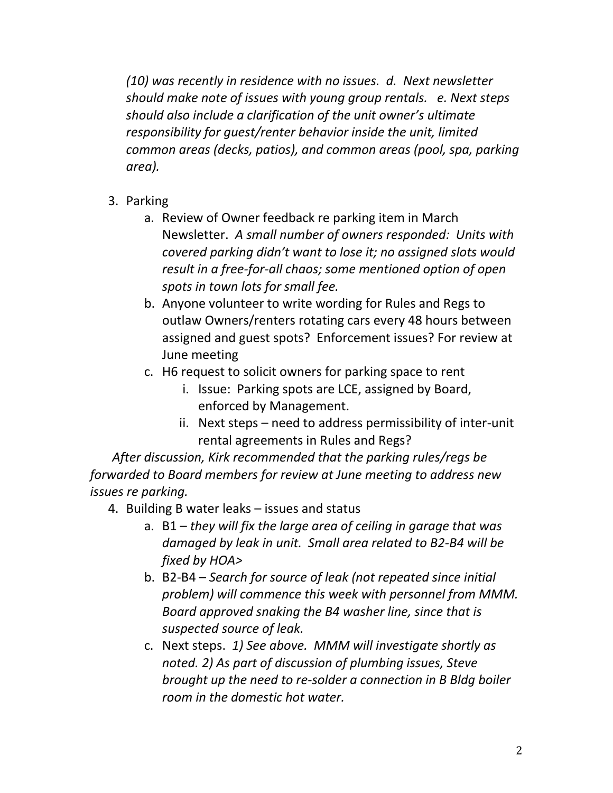*(10) was recently in residence with no issues. d. Next newsletter should make note of issues with young group rentals. e. Next steps should also include a clarification of the unit owner's ultimate responsibility for guest/renter behavior inside the unit, limited common areas (decks, patios), and common areas (pool, spa, parking area).*

- 3. Parking
	- a. Review of Owner feedback re parking item in March Newsletter. *A small number of owners responded: Units with covered parking didn't want to lose it; no assigned slots would result in a free-for-all chaos; some mentioned option of open spots in town lots for small fee.*
	- b. Anyone volunteer to write wording for Rules and Regs to outlaw Owners/renters rotating cars every 48 hours between assigned and guest spots? Enforcement issues? For review at June meeting
	- c. H6 request to solicit owners for parking space to rent
		- i. Issue: Parking spots are LCE, assigned by Board, enforced by Management.
		- ii. Next steps need to address permissibility of inter-unit rental agreements in Rules and Regs?

 *After discussion, Kirk recommended that the parking rules/regs be forwarded to Board members for review at June meeting to address new issues re parking.*

- 4. Building B water leaks issues and status
	- a. B1 *they will fix the large area of ceiling in garage that was damaged by leak in unit. Small area related to B2-B4 will be fixed by HOA>*
	- b. B2-B4 *Search for source of leak (not repeated since initial problem) will commence this week with personnel from MMM. Board approved snaking the B4 washer line, since that is suspected source of leak.*
	- c. Next steps. *1) See above. MMM will investigate shortly as noted. 2) As part of discussion of plumbing issues, Steve brought up the need to re-solder a connection in B Bldg boiler room in the domestic hot water.*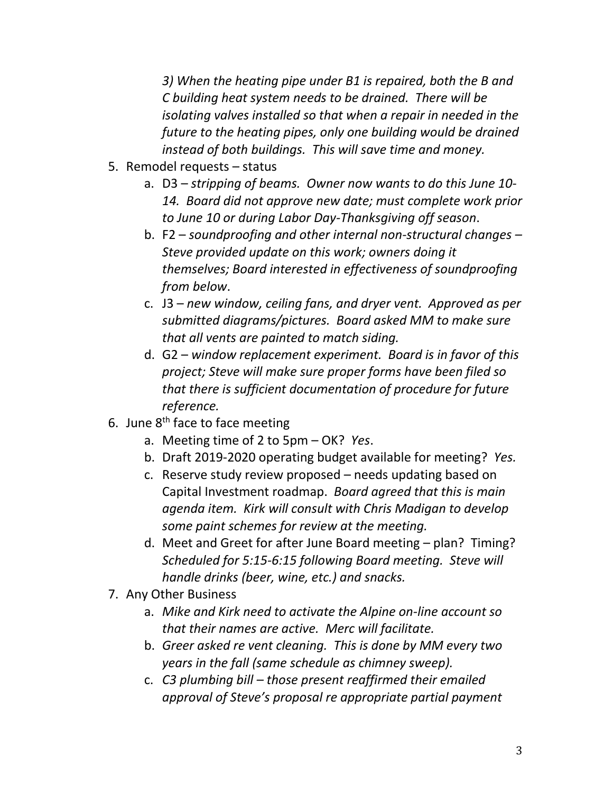*3) When the heating pipe under B1 is repaired, both the B and C building heat system needs to be drained. There will be isolating valves installed so that when a repair in needed in the future to the heating pipes, only one building would be drained instead of both buildings. This will save time and money.*

- 5. Remodel requests status
	- a. D3 *stripping of beams. Owner now wants to do this June 10- 14. Board did not approve new date; must complete work prior to June 10 or during Labor Day-Thanksgiving off season*.
	- b. F2 *soundproofing and other internal non-structural changes – Steve provided update on this work; owners doing it themselves; Board interested in effectiveness of soundproofing from below*.
	- c. J3 *new window, ceiling fans, and dryer vent. Approved as per submitted diagrams/pictures. Board asked MM to make sure that all vents are painted to match siding.*
	- d. G2 *window replacement experiment. Board is in favor of this project; Steve will make sure proper forms have been filed so that there is sufficient documentation of procedure for future reference.*
- 6. June  $8<sup>th</sup>$  face to face meeting
	- a. Meeting time of 2 to 5pm OK? *Yes*.
	- b. Draft 2019-2020 operating budget available for meeting? *Yes.*
	- c. Reserve study review proposed needs updating based on Capital Investment roadmap. *Board agreed that this is main agenda item. Kirk will consult with Chris Madigan to develop some paint schemes for review at the meeting.*
	- d. Meet and Greet for after June Board meeting plan? Timing? *Scheduled for 5:15-6:15 following Board meeting. Steve will handle drinks (beer, wine, etc.) and snacks.*
- 7. Any Other Business
	- a. *Mike and Kirk need to activate the Alpine on-line account so that their names are active. Merc will facilitate.*
	- b. *Greer asked re vent cleaning. This is done by MM every two years in the fall (same schedule as chimney sweep).*
	- c. *C3 plumbing bill – those present reaffirmed their emailed approval of Steve's proposal re appropriate partial payment*